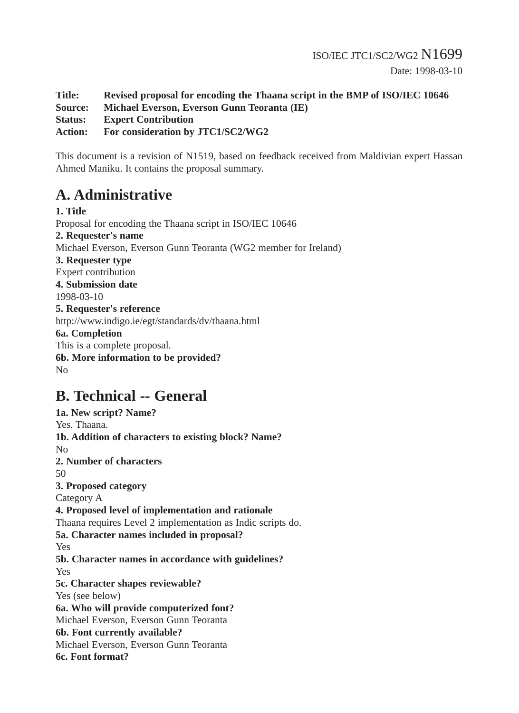**Title: Revised proposal for encoding the Thaana script in the BMP of ISO/IEC 10646 Source: Michael Everson, Everson Gunn Teoranta (IE) Status: Expert Contribution Action: For consideration by JTC1/SC2/WG2**

This document is a revision of N1519, based on feedback received from Maldivian expert Hassan Ahmed Maniku. It contains the proposal summary.

# **A. Administrative**

**1. Title** Proposal for encoding the Thaana script in ISO/IEC 10646 **2. Requester's name** Michael Everson, Everson Gunn Teoranta (WG2 member for Ireland) **3. Requester type** Expert contribution **4. Submission date** 1998-03-10 **5. Requester's reference** http://www.indigo.ie/egt/standards/dv/thaana.html **6a. Completion** This is a complete proposal. **6b. More information to be provided?** No

## **B. Technical -- General**

**1a. New script? Name?** Yes. Thaana. **1b. Addition of characters to existing block? Name?** No **2. Number of characters** 50 **3. Proposed category** Category A **4. Proposed level of implementation and rationale** Thaana requires Level 2 implementation as Indic scripts do. **5a. Character names included in proposal?** Yes **5b. Character names in accordance with guidelines?** Yes **5c. Character shapes reviewable?** Yes (see below) **6a. Who will provide computerized font?** Michael Everson, Everson Gunn Teoranta **6b. Font currently available?** Michael Everson, Everson Gunn Teoranta

**6c. Font format?**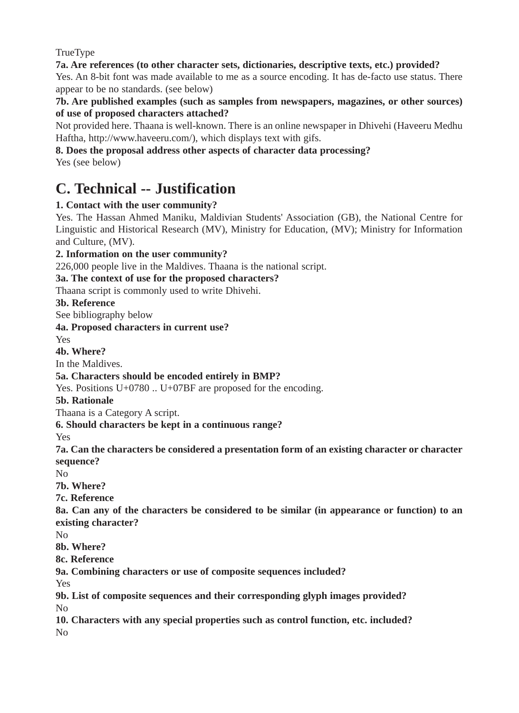TrueType

**7a. Are references (to other character sets, dictionaries, descriptive texts, etc.) provided?**

Yes. An 8-bit font was made available to me as a source encoding. It has de-facto use status. There appear to be no standards. (see below)

**7b. Are published examples (such as samples from newspapers, magazines, or other sources) of use of proposed characters attached?**

Not provided here. Thaana is well-known. There is an online newspaper in Dhivehi (Haveeru Medhu Haftha, http://www.haveeru.com/), which displays text with gifs.

**8. Does the proposal address other aspects of character data processing?**

Yes (see below)

# **C. Technical -- Justification**

### **1. Contact with the user community?**

Yes. The Hassan Ahmed Maniku, Maldivian Students' Association (GB), the National Centre for Linguistic and Historical Research (MV), Ministry for Education, (MV); Ministry for Information and Culture, (MV).

**2. Information on the user community?**

226,000 people live in the Maldives. Thaana is the national script.

**3a. The context of use for the proposed characters?**

Thaana script is commonly used to write Dhivehi.

### **3b. Reference**

See bibliography below

**4a. Proposed characters in current use?**

Yes

**4b. Where?**

In the Maldives.

### **5a. Characters should be encoded entirely in BMP?**

Yes. Positions U+0780 .. U+07BF are proposed for the encoding.

### **5b. Rationale**

Thaana is a Category A script.

**6. Should characters be kept in a continuous range?**

Yes

**7a. Can the characters be considered a presentation form of an existing character or character sequence?** 

 $N<sub>0</sub>$ 

**7b. Where?**

**7c. Reference**

**8a. Can any of the characters be considered to be similar (in appearance or function) to an existing character?**

No

**8b. Where?**

**8c. Reference**

**9a. Combining characters or use of composite sequences included?**

Yes

**9b. List of composite sequences and their corresponding glyph images provided?** No

**10. Characters with any special properties such as control function, etc. included?** No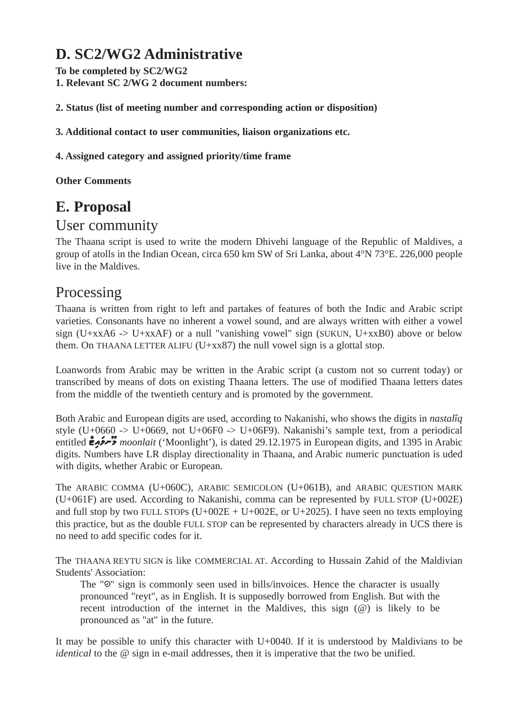# **D. SC2/WG2 Administrative**

**To be completed by SC2/WG2 1. Relevant SC 2/WG 2 document numbers:**

**2. Status (list of meeting number and corresponding action or disposition)**

**3. Additional contact to user communities, liaison organizations etc.**

**4. Assigned category and assigned priority/time frame**

**Other Comments**

# **E. Proposal**

## User community

The Thaana script is used to write the modern Dhivehi language of the Republic of Maldives, a group of atolls in the Indian Ocean, circa 650 km SW of Sri Lanka, about 4°N 73°E. 226,000 people live in the Maldives.

## Processing

Thaana is written from right to left and partakes of features of both the Indic and Arabic script varieties. Consonants have no inherent a vowel sound, and are always written with either a vowel sign (U+xxA6 -> U+xxAF) or a null "vanishing vowel" sign (SUKUN, U+xxB0) above or below them. On THAANA LETTER ALIFU ( $U+xx87$ ) the null vowel sign is a glottal stop.

Loanwords from Arabic may be written in the Arabic script (a custom not so current today) or transcribed by means of dots on existing Thaana letters. The use of modified Thaana letters dates from the middle of the twentieth century and is promoted by the government.

Both Arabic and European digits are used, according to Nakanishi, who shows the digits in *nastalîq* style (U+0660 -> U+0669, not U+06F0 -> U+06F9). Nakanishi's sample text, from a periodical entitled **e<sup>ntr'</sup>** moonlait ('Moonlight'), is dated 29.12.1975 in European digits, and 1395 in Arabic digits. Numbers have LR display directionality in Thaana, and Arabic numeric punctuation is uded with digits, whether Arabic or European.

The ARABIC COMMA (U+060C), ARABIC SEMICOLON (U+061B), and ARABIC QUESTION MARK (U+061F) are used. According to Nakanishi, comma can be represented by FULL STOP (U+002E) and full stop by two FULL STOPs  $(U+002E + U+002E)$ , or  $U+2025$ ). I have seen no texts employing this practice, but as the double FULL STOP can be represented by characters already in UCS there is no need to add specific codes for it.

The THAANA REYTU SIGN is like COMMERCIAL AT. According to Hussain Zahid of the Maldivian Students' Association:

The " $\odot$ " sign is commonly seen used in bills/invoices. Hence the character is usually pronounced "reyt", as in English. It is supposedly borrowed from English. But with the recent introduction of the internet in the Maldives, this sign  $(\mathcal{Q})$  is likely to be pronounced as "at" in the future.

It may be possible to unify this character with U+0040. If it is understood by Maldivians to be *identical* to the @ sign in e-mail addresses, then it is imperative that the two be unified.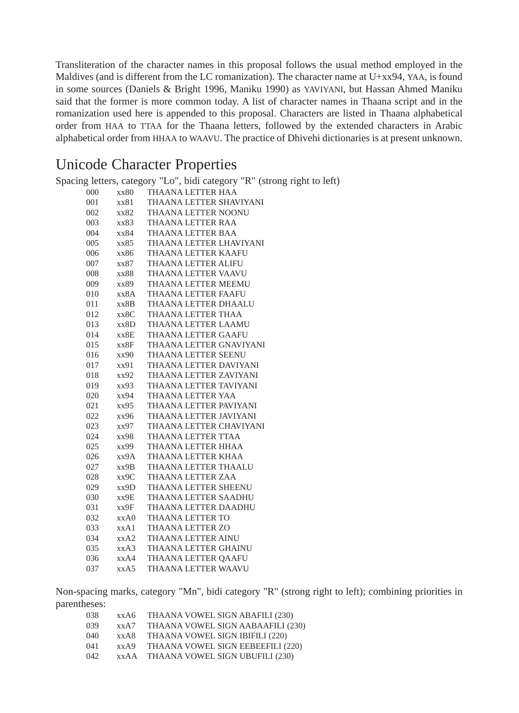Transliteration of the character names in this proposal follows the usual method employed in the Maldives (and is different from the LC romanization). The character name at U+xx94, YAA, is found in some sources (Daniels & Bright 1996, Maniku 1990) as YAVIYANI, but Hassan Ahmed Maniku said that the former is more common today. A list of character names in Thaana script and in the romanization used here is appended to this proposal. Characters are listed in Thaana alphabetical order from HAA to TTAA for the Thaana letters, followed by the extended characters in Arabic alphabetical order from HHAA to WAAVU. The practice of Dhivehi dictionaries is at present unknown.

## Unicode Character Properties

|     |      | Spacing letters, category "Lo", bidi category "R" (strong right to left) |
|-----|------|--------------------------------------------------------------------------|
| 000 | xx80 | THAANA LETTER HAA                                                        |
| 001 | xx81 | THAANA LETTER SHAVIYANI                                                  |
| 002 | xx82 | THAANA LETTER NOONU                                                      |
| 003 | xx83 | THAANA LETTER RAA                                                        |
| 004 | xx84 | THAANA LETTER BAA                                                        |
| 005 | xx85 | THAANA LETTER LHAVIYANI                                                  |
| 006 | xx86 | THAANA LETTER KAAFU                                                      |
| 007 | xx87 | THAANA LETTER ALIFU                                                      |
| 008 | xx88 | THAANA LETTER VAAVU                                                      |
| 009 | xx89 | THAANA LETTER MEEMU                                                      |
| 010 | xx8A | THAANA LETTER FAAFU                                                      |
| 011 | xx8B | THAANA LETTER DHAALU                                                     |
| 012 | xx8C | THAANA LETTER THAA                                                       |
| 013 | xx8D | THAANA LETTER LAAMU                                                      |
| 014 | xx8E | <b>THAANA LETTER GAAFU</b>                                               |
| 015 | xx8F | THAANA LETTER GNAVIYANI                                                  |
| 016 | xx90 | THAANA LETTER SEENU                                                      |
| 017 | xx91 | THAANA LETTER DAVIYANI                                                   |
| 018 | xx92 | THAANA LETTER ZAVIYANI                                                   |
| 019 | xx93 | THAANA LETTER TAVIYANI                                                   |
| 020 | xx94 | THAANA LETTER YAA                                                        |
| 021 | xx95 | THAANA LETTER PAVIYANI                                                   |
| 022 | xx96 | THAANA LETTER JAVIYANI                                                   |
| 023 | xx97 | THAANA LETTER CHAVIYANI                                                  |
| 024 | xx98 | THAANA LETTER TTAA                                                       |
| 025 | xx99 | THAANA LETTER HHAA                                                       |
| 026 | xx9A | THAANA LETTER KHAA                                                       |
| 027 | xx9B | THAANA LETTER THAALU                                                     |
| 028 | XX9C | THAANA LETTER ZAA                                                        |
| 029 | xx9D | THAANA LETTER SHEENU                                                     |
| 030 | xx9E | THAANA LETTER SAADHU                                                     |
| 031 | xx9F | THAANA LETTER DAADHU                                                     |
| 032 | xxA0 | THAANA LETTER TO                                                         |
| 033 | xxA1 | THAANA LETTER ZO                                                         |
| 034 | XXA2 | THAANA LETTER AINU                                                       |
| 035 | xxA3 | THAANA LETTER GHAINU                                                     |
| 036 | xxA4 | THAANA LETTER QAAFU                                                      |
| 037 | xxA5 | THAANA LETTER WAAVU                                                      |
|     |      |                                                                          |

Non-spacing marks, category "Mn", bidi category "R" (strong right to left); combining priorities in parentheses:

| 038  | xx A 6 | THAANA VOWEL SIGN ABAFILI (230)   |
|------|--------|-----------------------------------|
| 039  | xxA7   | THAANA VOWEL SIGN AABAAFILI (230) |
| 040  | xx A 8 | THAANA VOWEL SIGN IBIFILI (220)   |
| 041  | xxA9   | THAANA VOWEL SIGN EEBEEFILI (220) |
| 042. | xx A A | THAANA VOWEL SIGN UBUFILI (230)   |
|      |        |                                   |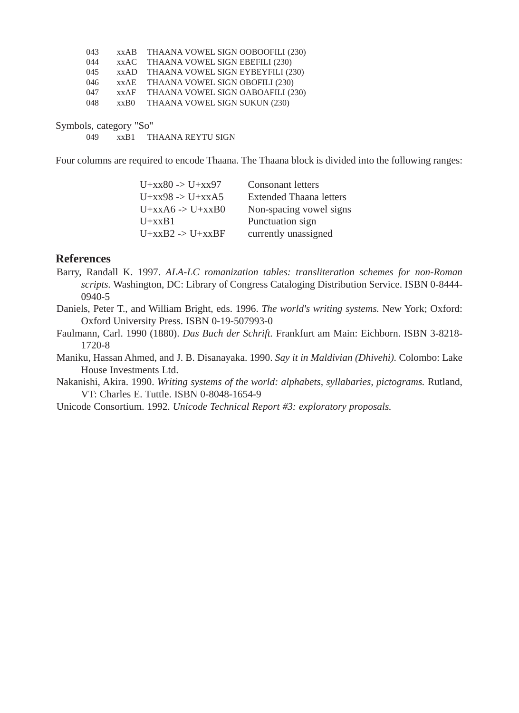|      | xxAB THAANA VOWEL SIGN OOBOOFILI (230) |
|------|----------------------------------------|
|      | xxAC THAANA VOWEL SIGN EBEFILI (230)   |
|      | xxAD THAANA VOWEL SIGN EYBEYFILI (230) |
|      | xxAE THAANA VOWEL SIGN OBOFILI (230)   |
|      | xxAF THAANA VOWEL SIGN OABOAFILI (230) |
| xxB0 | THAANA VOWEL SIGN SUKUN (230)          |
|      |                                        |

Symbols, category "So"

049 xxB1 THAANA REYTU SIGN

Four columns are required to encode Thaana. The Thaana block is divided into the following ranges:

| <b>Consonant letters</b>       |
|--------------------------------|
| <b>Extended Thaana letters</b> |
| Non-spacing vowel signs        |
| Punctuation sign               |
| currently unassigned           |
|                                |

#### **References**

- Barry, Randall K. 1997. *ALA-LC romanization tables: transliteration schemes for non-Roman scripts.* Washington, DC: Library of Congress Cataloging Distribution Service. ISBN 0-8444- 0940-5
- Daniels, Peter T., and William Bright, eds. 1996. *The world's writing systems.* New York; Oxford: Oxford University Press. ISBN 0-19-507993-0
- Faulmann, Carl. 1990 (1880). *Das Buch der Schrift.* Frankfurt am Main: Eichborn. ISBN 3-8218- 1720-8
- Maniku, Hassan Ahmed, and J. B. Disanayaka. 1990. *Say it in Maldivian (Dhivehi).* Colombo: Lake House Investments Ltd.

Nakanishi, Akira. 1990. *Writing systems of the world: alphabets, syllabaries, pictograms.* Rutland, VT: Charles E. Tuttle. ISBN 0-8048-1654-9

Unicode Consortium. 1992. *Unicode Technical Report #3: exploratory proposals.*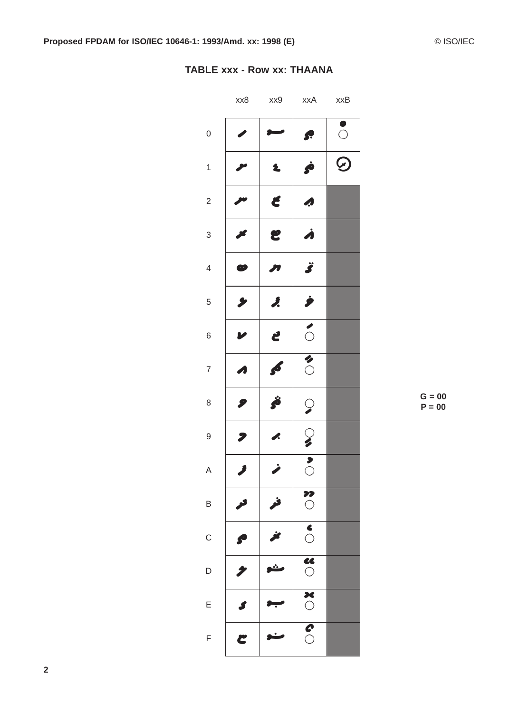#### **TABLE xxx - Row xx: THAANA**

|                          | xx8           | xx9 | xxA                      | xxB           |
|--------------------------|---------------|-----|--------------------------|---------------|
| $\mathbf{0}$             |               |     | S.                       | $\circ$       |
| $\mathbf{1}$             |               | Ł   | Ċ                        | $\bm{\Theta}$ |
| $\overline{\mathbf{c}}$  |               | Ć   | A                        |               |
| 3                        |               | E   | À                        |               |
| $\overline{\mathcal{A}}$ | æ             | 71  | Ï                        |               |
| 5                        |               | Ĵ.  | Ì                        |               |
| 6                        |               | Ľ   | $\delta$                 |               |
| $\overline{7}$           |               | f.  | $\overline{\textbf{c}}$  |               |
| 8                        | 9             | Ö   | $\heartsuit$             |               |
| 9                        |               | P.  | $\circledcirc$           |               |
| $\overline{A}$           |               |     | $\overline{\mathbf{S}}$  |               |
| B                        |               | فر  | $\overline{\textbf{C}}$  |               |
| $\mathsf C$              | $\mathcal{S}$ | ŕ   | $\overline{\textbf{S}}$  |               |
| D                        | 1             |     | $\overline{\bullet}$     |               |
| E                        | S             |     | $\overline{\textbf{36}}$ |               |
| F                        | C             |     | $\overline{\mathcal{S}}$ |               |

 $G = 00$  $P = 00$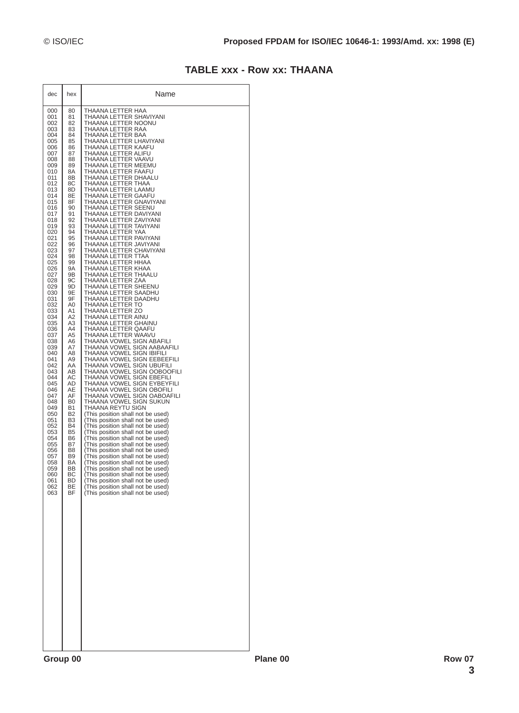#### **TABLE xxx - Row xx: THAANA**

| dec | hex       | Name                              |
|-----|-----------|-----------------------------------|
| 000 | 80        | THAANA LETTER HAA                 |
| 001 | 81        | THAANA LETTER SHAVIYANI           |
| 002 | 82        | THAANA LETTER NOONU               |
| 003 | 83        | THAANA LETTER RAA                 |
| 004 | 84        | THAANA LETTER BAA                 |
| 005 | 85        | THAANA LETTER LHAVIYANI           |
| 006 | 86        | THAANA LETTER KAAFU               |
| 007 | 87        | THAANA LETTER ALIFU               |
| 008 | 88        | THAANA LETTER VAAVU               |
| 009 | 89        | THAANA LETTER MEEMU               |
| 010 | 8A        | THAANA LETTER FAAFU               |
| 011 | 8Β        | THAANA LETTER DHAALU              |
| 012 | 8С        | THAANA LETTER THAA                |
| 013 | 8D        | THAANA LETTER LAAMU               |
| 014 | 8Ε        | THAANA LETTER GAAFU               |
| 015 | 8F        | THAANA LETTER GNAVIYANI           |
| 016 | 90        | THAANA LETTER SEENU               |
| 017 | 91        | THAANA LETTER DAVIYANI            |
| 018 | 92        | THAANA LETTER ZAVIYANI            |
| 019 | 93        | THAANA LETTER TAVIYANI            |
| 020 | 94        | THAANA LETTER YAA                 |
| 021 | 95        | THAANA LETTER PAVIYANI            |
| 022 | 96        | THAANA LETTER JAVIYANI            |
| 023 | 97        | THAANA LETTER CHAVIYANI           |
| 024 | 98        | THAANA LETTER TTAA                |
| 025 | 99        | THAANA LETTER HHAA                |
| 026 | 9Α        | THAANA LETTER KHAA                |
| 027 | 9Β        | THAANA LETTER THAALU              |
| 028 | 9C        | THAANA LETTER ZAA                 |
| 029 | 9D        | THAANA LETTER SHEENU              |
| 030 | 9Ε        | THAANA LETTER SAADHU              |
| 031 | 9F        | THAANA LETTER DAADHU              |
| 032 | A0        | THAANA LETTER TO                  |
| 033 | A1        | THAANA LETTER ZO                  |
| 034 | Α2        | THAANA LETTER AINU                |
| 035 | A3        | THAANA LETTER GHAINU              |
| 036 | A4        | THAANA LETTER QAAFU               |
| 037 | A5        | THAANA LETTER WAAVU               |
| 038 | A6        | THAANA VOWEL SIGN ABAFILI         |
| 039 | A7        | THAANA VOWEL SIGN AABAAFILI       |
| 040 | A8        | THAANA VOWEL SIGN IBIFILI         |
| 041 | A9        | THAANA VOWEL SIGN EEBEEFILI       |
| 042 | AA        | THAANA VOWEL SIGN UBUFILI         |
| 043 | AВ        | THAANA VOWEL SIGN OOBOOFILI       |
| 044 | АC        | THAANA VOWEL SIGN EBEFILI         |
| 045 | AD        | THAANA VOWEL SIGN EYBEYFILI       |
| 046 | AЕ        | THAANA VOWEL SIGN OBOFILI         |
| 047 | AF        | THAANA VOWEL SIGN OABOAFILI       |
| 048 | B0        | THAANA VOWEL SIGN SUKUN           |
| 049 | Β1        | THAANA REYTU SIGN                 |
| 050 | B2        | (This position shall not be used) |
| 051 | B3        | (This position shall not be used) |
| 052 | <b>B4</b> | (This position shall not be used) |
| 053 | B5        | (This position shall not be used) |
| 054 | B6        | (This position shall not be used) |
| 055 | B7        | (This position shall not be used) |
| 056 | В8        | (This position shall not be used) |
| 057 | B9        | (This position shall not be used) |
| 058 | ΒA        | (This position shall not be used) |
| 059 | BВ        | This position shall not be used)  |
| 060 | BС        | (This position shall not be used) |
| 061 | BD        | (This position shall not be used) |
| 062 | ВE        | (This position shall not be used) |
| 063 | BF        | (This position shall not be used) |